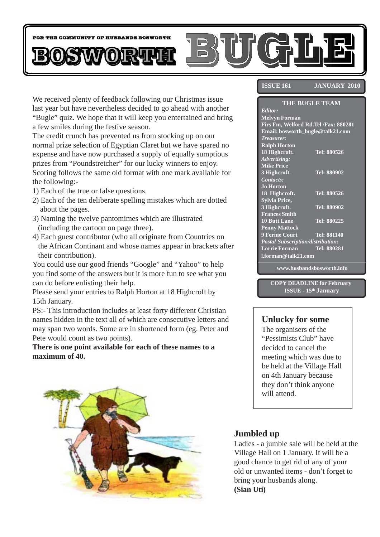

We received plenty of feedback following our Christmas issue last year but have nevertheless decided to go ahead with another "Bugle" quiz. We hope that it will keep you entertained and bring a few smiles during the festive season.

The credit crunch has prevented us from stocking up on our normal prize selection of Egyptian Claret but we have spared no expense and have now purchased a supply of equally sumptious prizes from "Poundstretcher" for our lucky winners to enjoy. Scoring follows the same old format with one mark available for the following:-

- 1) Each of the true or false questions.
- 2) Each of the ten deliberate spelling mistakes which are dotted about the pages.
- 3) Naming the twelve pantomimes which are illustrated (including the cartoon on page three).
- 4) Each guest contributor (who all originate from Countries on the African Continant and whose names appear in brackets after their contribution).

You could use our good friends "Google" and "Yahoo" to help you find some of the answers but it is more fun to see what you can do before enlisting their help.

Please send your entries to Ralph Horton at 18 Highcroft by 15th January.

PS:- This introduction includes at least forty different Christian names hidden in the text all of which are consecutive letters and may span two words. Some are in shortened form (eg. Peter and Pete would count as two points).

**There is one point available for each of these names to a maximum of 40.**



#### **ISSUE 161** JANUARY 2010

#### **THE BUGLE TEAM**

| Editor:                              |             |
|--------------------------------------|-------------|
| <b>Melvyn Forman</b>                 |             |
| Firs Fm, Welford Rd.Tel /Fax: 880281 |             |
| Email: bosworth_bugle@talk21.com     |             |
| Treasurer:                           |             |
| <b>Ralph Horton</b>                  |             |
| 18 Highcroft.                        | Tel: 880526 |
| Advertising:                         |             |
| <b>Mike Price</b>                    |             |
| 3 Highcroft.                         | Tel: 880902 |
| Contacts:                            |             |
| <b>Jo Horton</b>                     |             |
| 18 Highcroft.                        | Tel: 880526 |
| <b>Sylvia Price,</b>                 |             |
| 3 Highcroft.                         | Tel: 880902 |
| <b>Frances Smith</b>                 |             |
| <b>10 Butt Lane</b>                  | Tel: 880225 |
| <b>Penny Mattock</b>                 |             |
| <b>9 Fernie Court</b>                | Tel: 881140 |
| Postal Subscription/distribution:    |             |
| <b>Lorrie Forman</b>                 | Tel: 880281 |
| l.forman@talk21.com                  |             |
|                                      |             |

**www.husbandsbosworth.info**

**COPY DEADLINE for February ISSUE - 15th January**

#### **Unlucky for some**

The organisers of the "Pessimists Club" have decided to cancel the meeting which was due to be held at the Village Hall on 4th January because they don't think anyone will attend.

### **Jumbled up**

Ladies - a jumble sale will be held at the Village Hall on 1 January. It will be a good chance to get rid of any of your old or unwanted items - don't forget to bring your husbands along. **(Sian Uti)**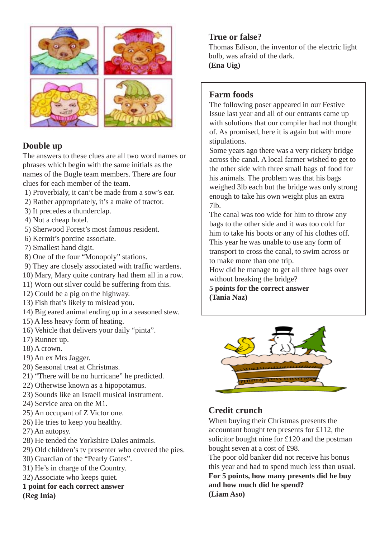

### **Double up**

The answers to these clues are all two word names or phrases which begin with the same initials as the names of the Bugle team members. There are four clues for each member of the team.

- 1) Proverbialy, it can't be made from a sow's ear.
- 2) Rather appropriately, it's a make of tractor.
- 3) It precedes a thunderclap.
- 4) Not a cheap hotel.
- 5) Sherwood Forest's most famous resident.
- 6) Kermit's porcine associate.
- 7) Smallest hand digit.
- 8) One of the four "Monopoly" stations.
- 9) They are closely associated with traffic wardens.
- 10) Mary, Mary quite contrary had them all in a row.
- 11) Worn out silver could be suffering from this.
- 12) Could be a pig on the highway.
- 13) Fish that's likely to mislead you.
- 14) Big eared animal ending up in a seasoned stew.
- 15) A less heavy form of heating.
- 16) Vehicle that delivers your daily "pinta".
- 17) Runner up.
- 18) A crown.
- 19) An ex Mrs Jagger.
- 20) Seasonal treat at Christmas.
- 21) "There will be no hurricane" he predicted.
- 22) Otherwise known as a hipopotamus.
- 23) Sounds like an Israeli musical instrument.
- 24) Service area on the M1.
- 25) An occupant of Z Victor one.
- 26) He tries to keep you healthy.
- 27) An autopsy.
- 28) He tended the Yorkshire Dales animals.
- 29) Old children's tv presenter who covered the pies.
- 30) Guardian of the "Pearly Gates".
- 31) He's in charge of the Country.
- 32) Associate who keeps quiet.

#### **1 point for each correct answer (Reg Inia)**

### **True or false?**

Thomas Edison, the inventor of the electric light bulb, was afraid of the dark. **(Ena Uig)**

### **Farm foods**

The following poser appeared in our Festive Issue last year and all of our entrants came up with solutions that our compiler had not thought of. As promised, here it is again but with more stipulations.

Some years ago there was a very rickety bridge across the canal. A local farmer wished to get to the other side with three small bags of food for his animals. The problem was that his bags weighed 3lb each but the bridge was only strong enough to take his own weight plus an extra 7lb.

The canal was too wide for him to throw any bags to the other side and it was too cold for him to take his boots or any of his clothes off. This year he was unable to use any form of transport to cross the canal, to swim across or to make more than one trip.

How did he manage to get all three bags over without breaking the bridge?

**5 points for the correct answer (Tania Naz)**



# **Credit crunch**

When buying their Christmas presents the accountant bought ten presents for £112, the solicitor bought nine for £120 and the postman bought seven at a cost of £98.

The poor old banker did not receive his bonus this year and had to spend much less than usual. **For 5 points, how many presents did he buy and how much did he spend? (Liam Aso)**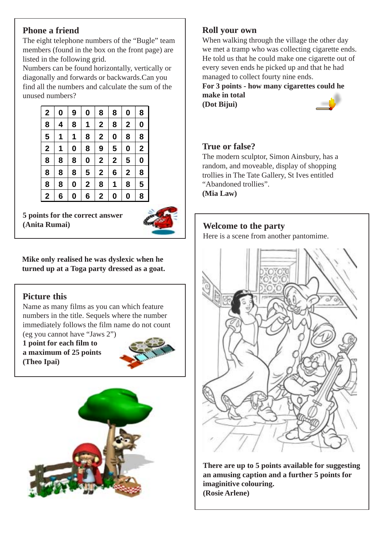### **Phone a friend**

The eight telephone numbers of the "Bugle" team members (found in the box on the front page) are listed in the following grid.

Numbers can be found horizontally, vertically or diagonally and forwards or backwards.Can you find all the numbers and calculate the sum of the unused numbers?



**5 points for the correct answer (Anita Rumai)**



**Mike only realised he was dyslexic when he turned up at a Toga party dressed as a goat.**

### **Picture this**

Name as many films as you can which feature numbers in the title. Sequels where the number immediately follows the film name do not count (eg you cannot have "Jaws 2")

**1 point for each film to a maximum of 25 points (Theo Ipai)**





### **Roll your own**

When walking through the village the other day we met a tramp who was collecting cigarette ends. He told us that he could make one cigarette out of every seven ends he picked up and that he had managed to collect fourty nine ends.

**For 3 points - how many cigarettes could he make in total (Dot Bijui)**

### **True or false?**

The modern sculptor, Simon Ainsbury, has a random, and moveable, display of shopping trollies in The Tate Gallery, St Ives entitled "Abandoned trollies".

**(Mia Law)**

# **Welcome to the party**

Here is a scene from another pantomime.



**There are up to 5 points available for suggesting an amusing caption and a further 5 points for imaginitive colouring. (Rosie Arlene)**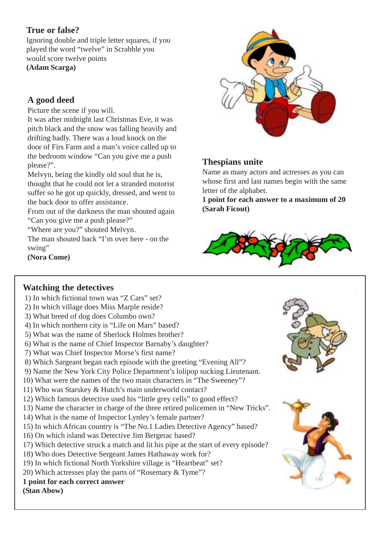### **True or false?**

Ignoring double and triple letter squares, if you played the word "twelve" in Scrabble you would score twelve points **(Adam Scarga)**

# **A good deed**

Picture the scene if you will.

It was after midnight last Christmas Eve, it was pitch black and the snow was falling heavily and drifting badly. There was a loud knock on the door of Firs Farm and a man's voice called up to the bedroom window "Can you give me a push please?".

Melvyn, being the kindly old soul that he is, thought that he could not let a stranded motorist suffer so he got up quickly, dressed, and went to the back door to offer assistance.

From out of the darkness the man shouted again "Can you give me a push please?"

"Where are you?" shouted Melvyn.

The man shouted back "I'm over here - on the swing"

**(Nora Come)**



# **Thespians unite**

Name as many actors and actresses as you can whose first and last names begin with the same letter of the alphabet.

**1 point for each answer to a maximum of 20 (Sarah Ficout)**



### **Watching the detectives**

- 1) In which fictional town was "Z Cars" set?
- 2) In which village does Miss Marple reside?
- 3) What breed of dog does Columbo own?
- 4) In which northern city is "Life on Mars" based?
- 5) What was the name of Sherlock Holmes brother?
- 6) What is the name of Chief Inspector Barnaby's daughter?
- 7) What was Chief Inspector Morse's first name?
- 8) Which Sargeant began each episode with the greeting "Evening All"?
- 9) Name the New York City Police Department's lolipop sucking Lieutenant.
- 10) What were the names of the two main characters in "The Sweeney"?
- 11) Who was Starskey & Hutch's main underworld contact?
- 12) Which famous detective used his "little grey cells" to good effect?
- 13) Name the character in charge of the three retired policemen in "New Tricks".
- 14) What is the name of Inspector Lynley's female partner?
- 15) In which African country is "The No.1 Ladies Detective Agency" based?
- 16) On which island was Detective Jim Bergerac based?
- 17) Which detective struck a match and lit his pipe at the start of every episode?
- 18) Who does Detective Sergeant James Hathaway work for?
- 19) In which fictional North Yorkshire village is "Heartbeat" set?
- 20) Which actresses play the parts of "Rosemary & Tyme"?
- **1 point for each correct answer**

**(Stan Abow)**

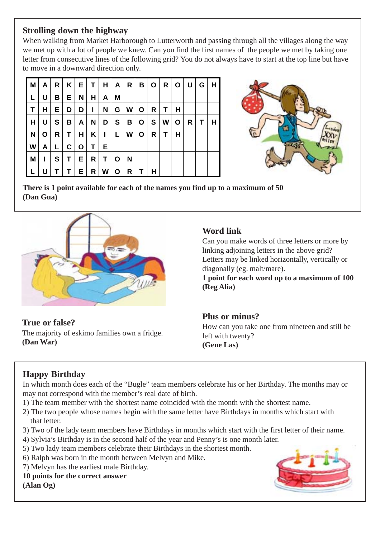### **Strolling down the highway**

When walking from Market Harborough to Lutterworth and passing through all the villages along the way we met up with a lot of people we knew. Can you find the first names of the people we met by taking one letter from consecutive lines of the following grid? You do not always have to start at the top line but have to move in a downward direction only.

| M | A            | R  | $K \mid$ | Е | T. | H  | A            | R | В | O | R | O | U | G | H |
|---|--------------|----|----------|---|----|----|--------------|---|---|---|---|---|---|---|---|
|   | U            | В  | Е.       | N | н  | A  | M            |   |   |   |   |   |   |   |   |
| т | н            | E. | D        | D | L  | N  | G            | W | O | R | Τ | H |   |   |   |
| н | U            | S  | В        | A | N  | D  | S            | В | O | S | W | O | R | т | н |
| N | O            | R  | Т        | н | Κ  | ı  | L            | W | O | R | т | н |   |   |   |
| W | A            | L. | C.       | O | Τ  | Е  |              |   |   |   |   |   |   |   |   |
| M | $\mathbf{I}$ | S  | Т        | Е | R  | T. | $\mathbf{o}$ | N |   |   |   |   |   |   |   |
|   | U            |    |          | Е | R  | W  | O            | R |   | н |   |   |   |   |   |



**There is 1 point available for each of the names you find up to a maximum of 50 (Dan Gua)**



### **True or false?** The majority of eskimo families own a fridge. **(Dan War)**

# **Word link**

Can you make words of three letters or more by linking adjoining letters in the above grid? Letters may be linked horizontally, vertically or diagonally (eg. malt/mare).

**1 point for each word up to a maximum of 100 (Reg Alia)**

### **Plus or minus?**

How can you take one from nineteen and still be left with twenty? **(Gene Las)**

# **Happy Birthday**

In which month does each of the "Bugle" team members celebrate his or her Birthday. The months may or may not correspond with the member's real date of birth.

- 1) The team member with the shortest name coincided with the month with the shortest name.
- 2) The two people whose names begin with the same letter have Birthdays in months which start with that letter.
- 3) Two of the lady team members have Birthdays in months which start with the first letter of their name.
- 4) Sylvia's Birthday is in the second half of the year and Penny's is one month later.
- 5) Two lady team members celebrate their Birthdays in the shortest month.
- 6) Ralph was born in the month between Melvyn and Mike.
- 7) Melvyn has the earliest male Birthday.
- **10 points for the correct answer**

**(Alan Og)**

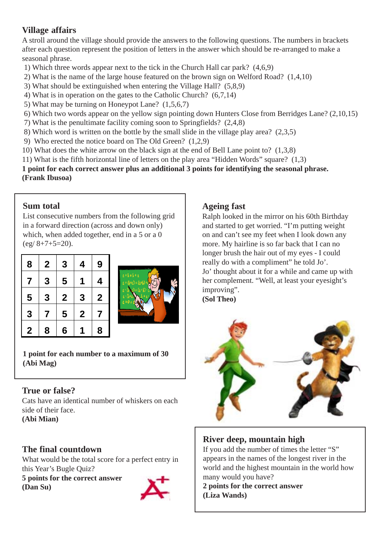# **Village affairs**

A stroll around the village should provide the answers to the following questions. The numbers in brackets after each question represent the position of letters in the answer which should be re-arranged to make a seasonal phrase.

- 1) Which three words appear next to the tick in the Church Hall car park? (4,6,9)
- 2) What is the name of the large house featured on the brown sign on Welford Road? (1,4,10)
- 3) What should be extinguished when entering the Village Hall? (5,8,9)
- 4) What is in operation on the gates to the Catholic Church? (6,7,14)
- 5) What may be turning on Honeypot Lane? (1,5,6,7)
- 6) Which two words appear on the yellow sign pointing down Hunters Close from Berridges Lane? (2,10,15)
- 7) What is the penultimate facility coming soon to Springfields? (2,4,8)
- 8) Which word is written on the bottle by the small slide in the village play area? (2,3,5)
- 9) Who erected the notice board on The Old Green? (1,2,9)
- 10) What does the white arrow on the black sign at the end of Bell Lane point to? (1,3,8)
- 11) What is the fifth horizontal line of letters on the play area "Hidden Words" square? (1,3)

**1 point for each correct answer plus an additional 3 points for identifying the seasonal phrase. (Frank Ibusoa)**

### **Sum total**

List consecutive numbers from the following grid in a forward direction (across and down only) which, when added together, end in a 5 or a 0  $(eg/8+7+5=20)$ .

| 8           | $\mathbf 2$ | 3              | 4           | 9            |
|-------------|-------------|----------------|-------------|--------------|
| 7           | 3           | 5              |             | 4            |
| 5           | 3           | $\mathbf{2}$   | 3           | $\mathbf{2}$ |
| 3           | 7           | 5              | $\mathbf 2$ | 7            |
| $\mathbf 2$ | 8           | $6\phantom{1}$ |             | 8            |



**1 point for each number to a maximum of 30 (Abi Mag)**

# **True or false?**

Cats have an identical number of whiskers on each side of their face.

**(Abi Mian)**

# **The final countdown**

What would be the total score for a perfect entry in this Year's Bugle Quiz?

**5 points for the correct answer (Dan Su)**



# **Ageing fast**

Ralph looked in the mirror on his 60th Birthday and started to get worried. "I'm putting weight on and can't see my feet when I look down any more. My hairline is so far back that I can no longer brush the hair out of my eyes - I could really do with a compliment" he told Jo'. Jo' thought about it for a while and came up with her complement. "Well, at least your eyesight's improving". **(Sol Theo)**



# **River deep, mountain high**

If you add the number of times the letter "S" appears in the names of the longest river in the world and the highest mountain in the world how many would you have?

**2 points for the correct answer (Liza Wands)**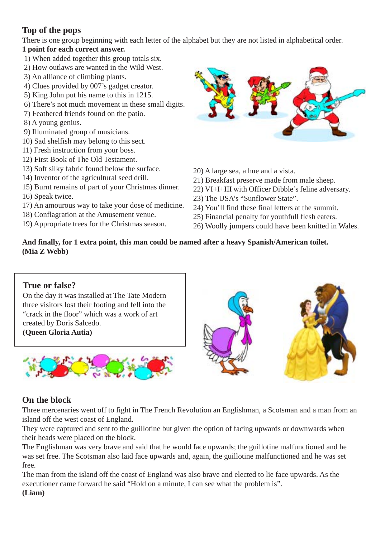### **Top of the pops**

There is one group beginning with each letter of the alphabet but they are not listed in alphabetical order.

### **1 point for each correct answer.**

- 1) When added together this group totals six.
- 2) How outlaws are wanted in the Wild West.
- 3) An alliance of climbing plants.
- 4) Clues provided by 007's gadget creator.
- 5) King John put his name to this in 1215.
- 6) There's not much movement in these small digits.
- 7) Feathered friends found on the patio.
- 8) A young genius.
- 9) Illuminated group of musicians.
- 10) Sad shelfish may belong to this sect.
- 11) Fresh instruction from your boss.
- 12) First Book of The Old Testament.
- 13) Soft silky fabric found below the surface.
- 14) Inventor of the agricultural seed drill.
- 15) Burnt remains of part of your Christmas dinner.
- 16) Speak twice.
- 17) An amourous way to take your dose of medicine.
- 18) Conflagration at the Amusement venue.
- 19) Appropriate trees for the Christmas season.



20) A large sea, a hue and a vista.

- 21) Breakfast preserve made from male sheep.
- 22) VI+I+III with Officer Dibble's feline adversary.
- 23) The USA's "Sunflower State".
- 24) You'll find these final letters at the summit.
- 25) Financial penalty for youthfull flesh eaters.
- 26) Woolly jumpers could have been knitted in Wales.

#### **And finally, for 1 extra point, this man could be named after a heavy Spanish/American toilet. (Mia Z Webb)**

### **True or false?**

On the day it was installed at The Tate Modern three visitors lost their footing and fell into the "crack in the floor" which was a work of art created by Doris Salcedo. **(Queen Gloria Autia)**



### **On the block**

Three mercenaries went off to fight in The French Revolution an Englishman, a Scotsman and a man from an island off the west coast of England.

They were captured and sent to the guillotine but given the option of facing upwards or downwards when their heads were placed on the block.

The Englishman was very brave and said that he would face upwards; the guillotine malfunctioned and he was set free. The Scotsman also laid face upwards and, again, the guillotine malfunctioned and he was set free.

The man from the island off the coast of England was also brave and elected to lie face upwards. As the executioner came forward he said "Hold on a minute, I can see what the problem is". **(Liam)**